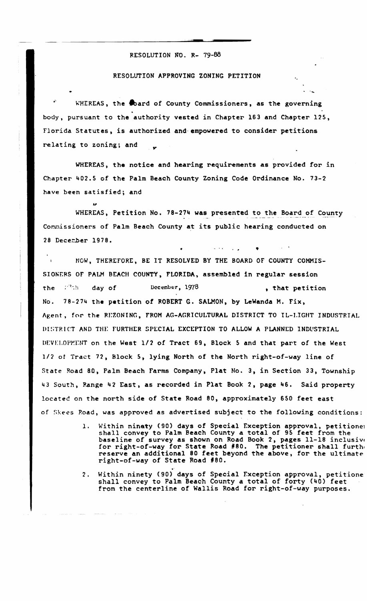## RESOLUTION NO. R- 79-88

## RESOLUTION APPROVING ZONING PETITION

WHEREAS, the coard of County Commissioners, as the governing body, pursuant to the authority vested in Chapter 163 and Chapter 125, Florida Statutes, is authorized and empowered to consider petitions relating to zoning; and

WHEREAS, the notice and hearing requirements as provided for in Chapter 402.5 of the Palm Beach County Zoning Code Ordinance No. 73-2 have been satisfied; and

WHEREAS, Petition No. 78-274 was presented to the Board of County Commissioners of Palm Beach County at its public hearing conducted on 28 December 1978.

NOW, THEREFORE, BE IT RESOLVED BY THE BOARD OF COUNTY COMMIS-SIONERS OF PALM BEACH COUNTY, FLORIDA, assembled in regular session  $\mathcal{D}^{\mathcal{O}}(\mathcal{M})$ December, 1978 the day of , that petition 78-274 the petition of ROBERT G. SALMON, by LeWanda M. Fix, No. Agent, for the REZONING, FROM AG-AGRICULTURAL DISTRICT TO IL-LIGHT INDUSTRIAL DISTRICT AND THE FURTHER SPECIAL EXCEPTION TO ALLOW A PLANNED INDUSTRIAL DEVELOPMENT on the West 1/2 of Tract 69, Block 5 and that part of the West 1/2 of Tract 72, Block 5, lying North of the North right-of-way line of State Road 80, Palm Beach Farms Company, Plat No. 3, in Section 33, Township 43 South, Range 42 East, as recorded in Plat Book 2, page 46. Said property located on the north side of State Road 80, approximately 650 feet east of Skees Road, was approved as advertised subject to the following conditions:

- Within ninety (90) days of Special Exception approval, petitioned<br>shall convey to Palm Beach County a total of 95 feet from the 1. baseline of survey as shown on Road Book 2, pages 11-18 inclusive for right-of-way for State Road #80. The petitioner shall furthe reserve an additional 80 feet beyond the above, for the ultimate right-of-way of State Road #80.
- Within ninety (90) days of Special Exception approval, petitione  $2.$ shall convey to Palm Beach County a total of forty (40) feet from the centerline of Wallis Road for right-of-way purposes.